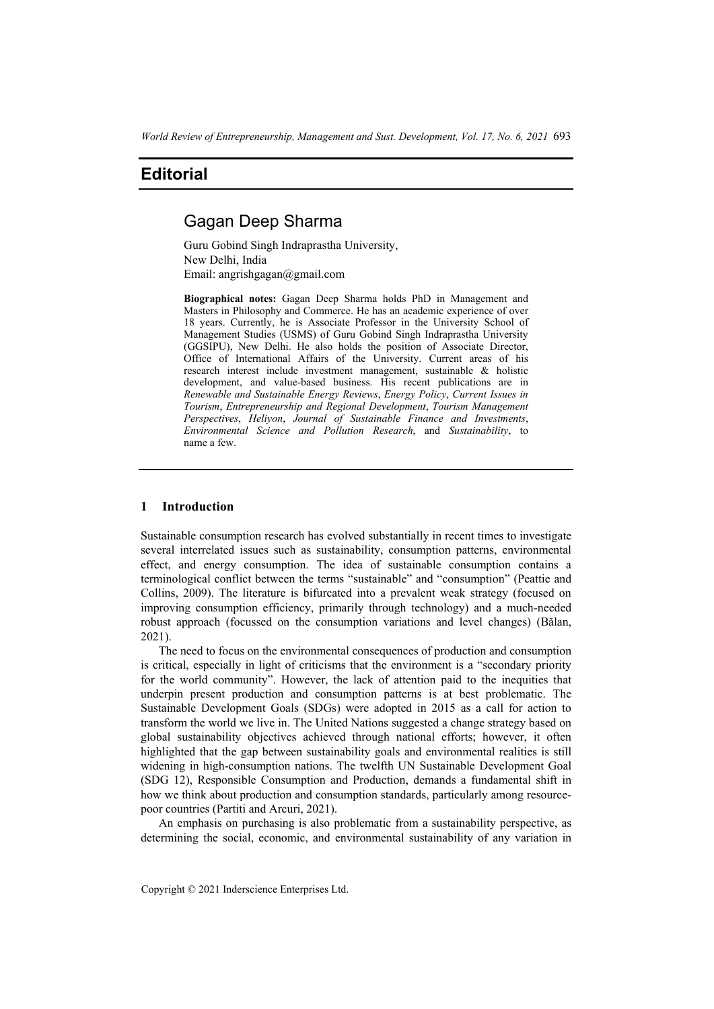# **Editorial**

## Gagan Deep Sharma

Guru Gobind Singh Indraprastha University, New Delhi, India Email: angrishgagan@gmail.com

**Biographical notes:** Gagan Deep Sharma holds PhD in Management and Masters in Philosophy and Commerce. He has an academic experience of over 18 years. Currently, he is Associate Professor in the University School of Management Studies (USMS) of Guru Gobind Singh Indraprastha University (GGSIPU), New Delhi. He also holds the position of Associate Director, Office of International Affairs of the University. Current areas of his research interest include investment management, sustainable & holistic development, and value-based business. His recent publications are in *Renewable and Sustainable Energy Reviews*, *Energy Policy*, *Current Issues in Tourism*, *Entrepreneurship and Regional Development*, *Tourism Management Perspectives*, *Heliyon*, *Journal of Sustainable Finance and Investments*, *Environmental Science and Pollution Research*, and *Sustainability*, to name a few.

## **1 Introduction**

Sustainable consumption research has evolved substantially in recent times to investigate several interrelated issues such as sustainability, consumption patterns, environmental effect, and energy consumption. The idea of sustainable consumption contains a terminological conflict between the terms "sustainable" and "consumption" (Peattie and Collins, 2009). The literature is bifurcated into a prevalent weak strategy (focused on improving consumption efficiency, primarily through technology) and a much-needed robust approach (focussed on the consumption variations and level changes) (Bălan, 2021).

The need to focus on the environmental consequences of production and consumption is critical, especially in light of criticisms that the environment is a "secondary priority for the world community". However, the lack of attention paid to the inequities that underpin present production and consumption patterns is at best problematic. The Sustainable Development Goals (SDGs) were adopted in 2015 as a call for action to transform the world we live in. The United Nations suggested a change strategy based on global sustainability objectives achieved through national efforts; however, it often highlighted that the gap between sustainability goals and environmental realities is still widening in high-consumption nations. The twelfth UN Sustainable Development Goal (SDG 12), Responsible Consumption and Production, demands a fundamental shift in how we think about production and consumption standards, particularly among resourcepoor countries (Partiti and Arcuri, 2021).

An emphasis on purchasing is also problematic from a sustainability perspective, as determining the social, economic, and environmental sustainability of any variation in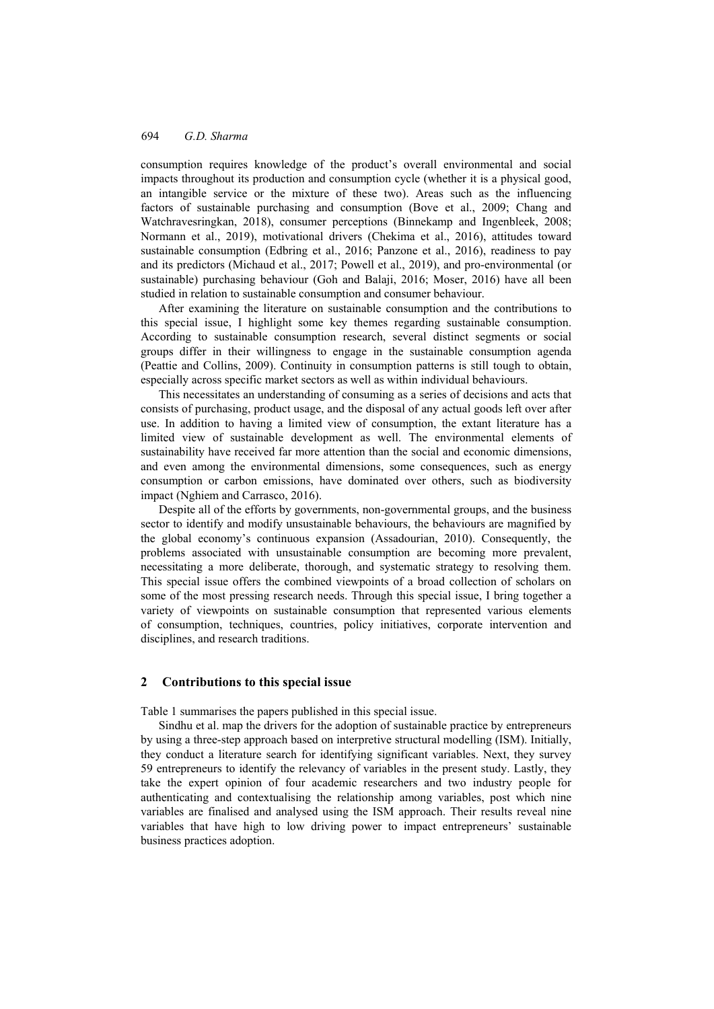consumption requires knowledge of the product's overall environmental and social impacts throughout its production and consumption cycle (whether it is a physical good, an intangible service or the mixture of these two). Areas such as the influencing factors of sustainable purchasing and consumption (Bove et al., 2009; Chang and Watchravesringkan, 2018), consumer perceptions (Binnekamp and Ingenbleek, 2008; Normann et al., 2019), motivational drivers (Chekima et al., 2016), attitudes toward sustainable consumption (Edbring et al., 2016; Panzone et al., 2016), readiness to pay and its predictors (Michaud et al., 2017; Powell et al., 2019), and pro-environmental (or sustainable) purchasing behaviour (Goh and Balaji, 2016; Moser, 2016) have all been studied in relation to sustainable consumption and consumer behaviour.

After examining the literature on sustainable consumption and the contributions to this special issue, I highlight some key themes regarding sustainable consumption. According to sustainable consumption research, several distinct segments or social groups differ in their willingness to engage in the sustainable consumption agenda (Peattie and Collins, 2009). Continuity in consumption patterns is still tough to obtain, especially across specific market sectors as well as within individual behaviours.

This necessitates an understanding of consuming as a series of decisions and acts that consists of purchasing, product usage, and the disposal of any actual goods left over after use. In addition to having a limited view of consumption, the extant literature has a limited view of sustainable development as well. The environmental elements of sustainability have received far more attention than the social and economic dimensions, and even among the environmental dimensions, some consequences, such as energy consumption or carbon emissions, have dominated over others, such as biodiversity impact (Nghiem and Carrasco, 2016).

Despite all of the efforts by governments, non-governmental groups, and the business sector to identify and modify unsustainable behaviours, the behaviours are magnified by the global economy's continuous expansion (Assadourian, 2010). Consequently, the problems associated with unsustainable consumption are becoming more prevalent, necessitating a more deliberate, thorough, and systematic strategy to resolving them. This special issue offers the combined viewpoints of a broad collection of scholars on some of the most pressing research needs. Through this special issue, I bring together a variety of viewpoints on sustainable consumption that represented various elements of consumption, techniques, countries, policy initiatives, corporate intervention and disciplines, and research traditions.

#### **2 Contributions to this special issue**

Table 1 summarises the papers published in this special issue.

Sindhu et al. map the drivers for the adoption of sustainable practice by entrepreneurs by using a three-step approach based on interpretive structural modelling (ISM). Initially, they conduct a literature search for identifying significant variables. Next, they survey 59 entrepreneurs to identify the relevancy of variables in the present study. Lastly, they take the expert opinion of four academic researchers and two industry people for authenticating and contextualising the relationship among variables, post which nine variables are finalised and analysed using the ISM approach. Their results reveal nine variables that have high to low driving power to impact entrepreneurs' sustainable business practices adoption.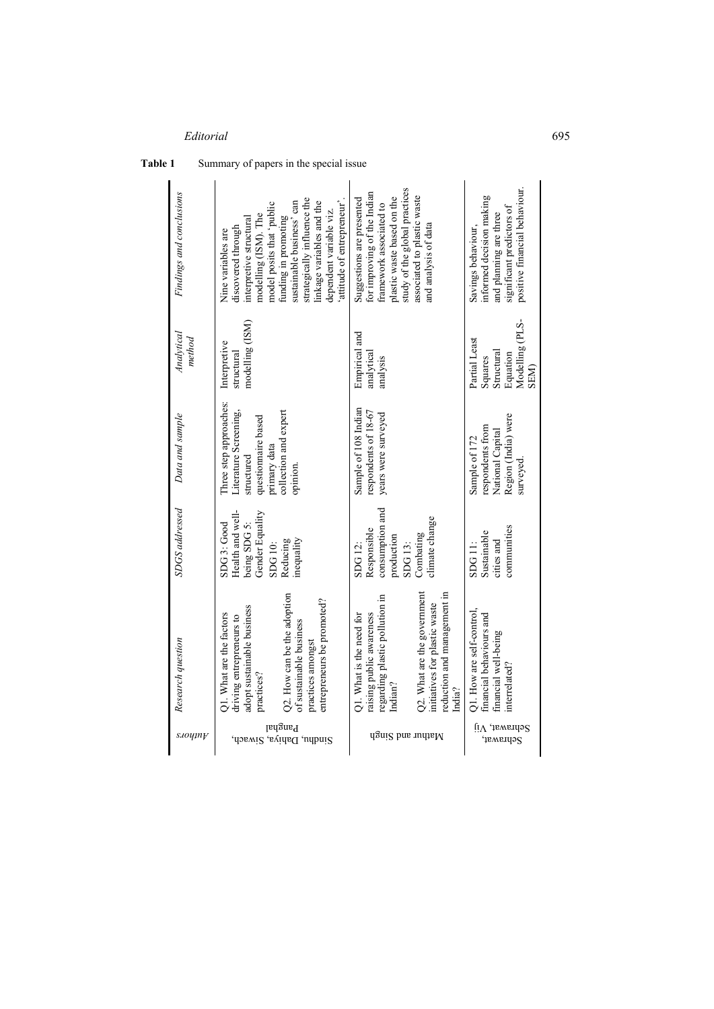| s.10y1ny                           | Research question                                                                                                                                                                                             | <b>SDGS</b> addressed                                                                                         | Data and sample                                                                                                                          | Analytical<br>method                                                                | Findings and conclusions                                                                                                                                                                                                                                                                         |
|------------------------------------|---------------------------------------------------------------------------------------------------------------------------------------------------------------------------------------------------------------|---------------------------------------------------------------------------------------------------------------|------------------------------------------------------------------------------------------------------------------------------------------|-------------------------------------------------------------------------------------|--------------------------------------------------------------------------------------------------------------------------------------------------------------------------------------------------------------------------------------------------------------------------------------------------|
| Panghal<br>Sindhu, Dahiya, Siwach, | Q2. How can be the adoption<br>entrepreneurs be promoted?<br>adopt sustainable business<br>Q1. What are the factors<br>driving entrepreneurs to<br>of sustainable business<br>practices amongst<br>practices? | Health and well-<br>Gender Equality<br>being SDG 5:<br>$SDG$ 3: $Good$<br>inequality<br>Reducing<br>SDG 10:   | Three step approaches:<br>collection and expert<br>Literature Screening,<br>questionnaire based<br>primary data<br>structured<br>opinion | modelling (ISM)<br>Interpretive<br>structural                                       | strategically influence the<br>sustainable business' can<br>linkage variables and the<br>model posits that 'public<br>attitude of entrepreneur<br>dependent variable viz.<br>modelling (ISM). The<br>funding in promoting<br>interpretive structural<br>discovered through<br>Nine variables are |
| Mathur and Singh                   | Q2. What are the government<br>reduction and management in<br>regarding plastic pollution in<br>initiatives for plastic waste<br>raising public awareness<br>Q1. What is the need for<br>Indian?<br>India?    | consumption and<br>climate change<br>Responsible<br>Combating<br>production<br>SDG <sub>13</sub> :<br>SDG 12: | Sample of 108 Indian<br>respondents of 18-67<br>years were surveyed                                                                      | Empirical and<br>analytical<br>analysis                                             | study of the global practices<br>for improving of the Indian<br>associated to plastic waste<br>plastic waste based on the<br>Suggestions are presented<br>framework associated to<br>and analysis of data                                                                                        |
| ſι∧<br>Sehrawat,<br>Sehrawat,      | Q1. How are self-control.<br>financial behaviours and<br>financial well-being<br>interrelated?                                                                                                                | communities<br>Sustainable<br>cities and<br>SDG <sub>11:</sub>                                                | Region (India) were<br>respondents from<br>National Capital<br>Sample of 172<br>surveyed                                                 | Modelling (PLS-<br>Partial Least<br>Structural<br>Equation<br>Squares<br><b>NER</b> | positive financial behaviour.<br>informed decision making<br>significant predictors of<br>and planning are three<br>Savings behaviour,                                                                                                                                                           |

## Table 1 Summary of papers in the special issue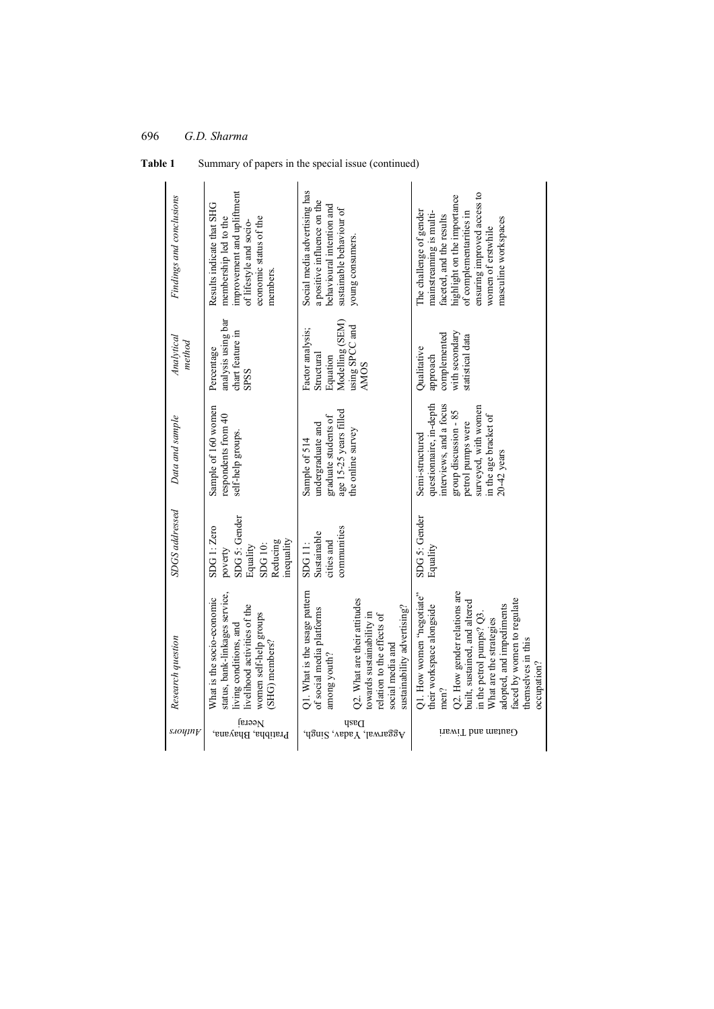| Findings and conclusions | improvement and upliftment<br>Results indicate that SHG<br>membership led to the<br>economic status of the<br>of lifestyle and socio-<br>members.                 | Social media advertising has<br>a positive influence on the<br>behavioural intention and<br>sustainable behaviour of<br>young consumers.                                                                                 | ensuring improved access to<br>highlight on the importance<br>The challenge of gender<br>mainstreaming is multi-<br>of complementarities in<br>faceted, and the results<br>masculine workspaces<br>women of erstwhile                                                                 |
|--------------------------|-------------------------------------------------------------------------------------------------------------------------------------------------------------------|--------------------------------------------------------------------------------------------------------------------------------------------------------------------------------------------------------------------------|---------------------------------------------------------------------------------------------------------------------------------------------------------------------------------------------------------------------------------------------------------------------------------------|
| Analytical<br>method     | analysis using bar<br>chart feature in<br>Percentage<br>SPSS                                                                                                      | Modelling (SEM)<br>using SPCC and<br>Factor analysis;<br>Structural<br>Equation<br><b>AMOS</b>                                                                                                                           | with secondary<br>complemented<br>statistical data<br>Qualitative<br>approach                                                                                                                                                                                                         |
| Data and sample          | Sample of 160 women<br>respondents from 40<br>self-help groups                                                                                                    | age 15-25 years filled<br>graduate students of<br>undergraduate and<br>the online survey<br>Sample of 514                                                                                                                | interviews, and a focus<br>questionnaire, in-depth<br>surveyed, with women<br>group discussion - 85<br>in the age bracket of<br>petrol pumps were<br>Semi-structured<br>$20-42$ years                                                                                                 |
| <b>SDGS</b> addressed    | SDG 5: Gender<br>SDG 1: Zero<br>mequality<br>Reducing<br>SDG 10:<br>Equality<br>poverty                                                                           | communities<br>Sustainable<br>cities and<br>SDG <sub>11:</sub>                                                                                                                                                           | SDG 5: Gender<br>Equality                                                                                                                                                                                                                                                             |
| Research question        | status, bank-linkages service,<br>What is the socio-economic<br>ivelihood activities of the<br>women self-help groups<br>living conditions, and<br>(SHG) members? | Q1. What is the usage pattern<br>Q2. What are their attitudes<br>sustainability advertising?<br>of social media platforms<br>towards sustainability in<br>relation to the effects of<br>social media and<br>among youth? | 22. How gender relations are<br>Q1. How women "negotiate"<br>faced by women to regulate<br>built, sustained, and altered<br>adopted, and impediments<br>their workspace alongside<br>in the petrol pumps? Q3.<br>What are the strategies<br>themselves in this<br>occupation?<br>men? |
| s.10ymy                  | Neeraj<br>Pratibha, Bhayana,                                                                                                                                      | Dash<br>Aggarwal, Yadav, Singh,                                                                                                                                                                                          | Gautam and Tiwari                                                                                                                                                                                                                                                                     |

**Table 1** Summary of papers in the special issue (continued)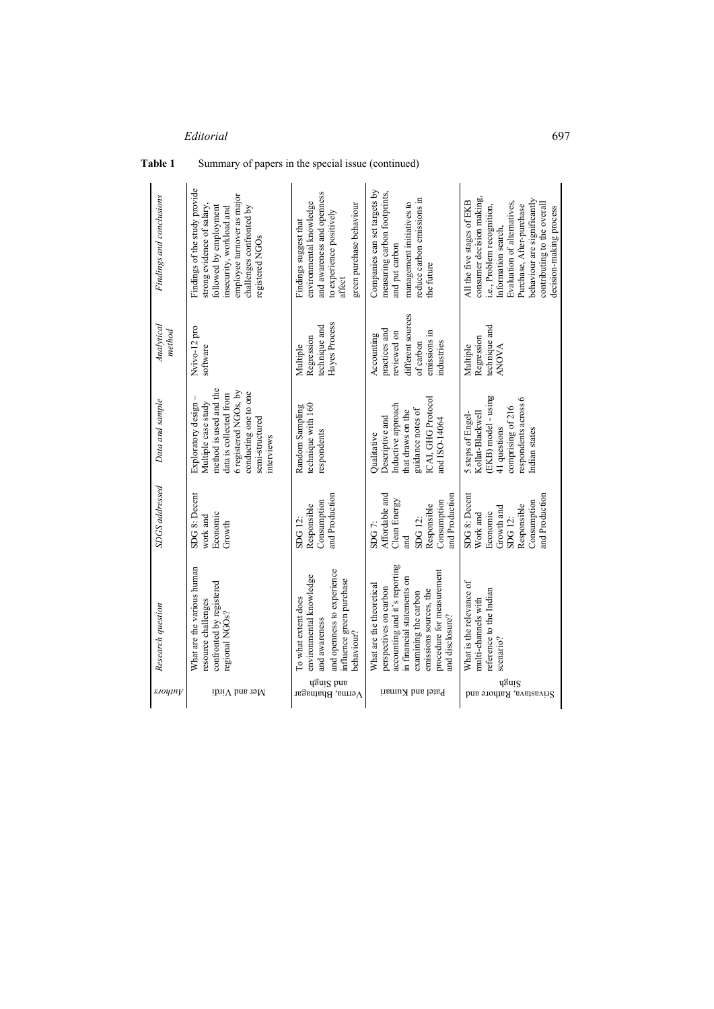| Findings and conclusions | Findings of the study provide<br>employee tumover as major<br>challenges confronted by<br>strong evidence of salary<br>followed by employment<br>insecurity, workload and<br>registered NGOs | and awareness and openness<br>environmental knowledge<br>green purchase behaviour<br>to experience positively<br>Findings suggest that<br>affect | Companies can set targets by<br>measuring carbon footprints,<br>reduce carbon emissions in<br>management initiatives to<br>and put carbon<br>the future                                                            | consumer decision making,<br>behaviour are significantly<br>All the five stages of EKB<br>Evaluation of alternatives,<br>Purchase, After-purchase<br>contributing to the overal<br>i.e., Problem recognition,<br>decision-making process<br>Information search, |
|--------------------------|----------------------------------------------------------------------------------------------------------------------------------------------------------------------------------------------|--------------------------------------------------------------------------------------------------------------------------------------------------|--------------------------------------------------------------------------------------------------------------------------------------------------------------------------------------------------------------------|-----------------------------------------------------------------------------------------------------------------------------------------------------------------------------------------------------------------------------------------------------------------|
| Analytical<br>method     | Nvivo-12 pro<br>software                                                                                                                                                                     | Hayes Process<br>technique and<br>Regression<br>Multiple                                                                                         | different sources<br>practices and<br>reviewed on<br>emissions in<br>Accounting<br>ndustries<br>of carbon                                                                                                          | technique and<br>Regression<br>Multiple<br>ANOVA                                                                                                                                                                                                                |
| Data and sample          | method is used and the<br>6 registered NGOs, by<br>conducting one to one<br>data is collected from<br>Multiple case study<br>Exploratory design<br>semi-structured<br>nterviews              | technique with 160<br>Random Sampling<br>respondents                                                                                             | ICAI, GHG Protocol<br>Inductive approach<br>guidance notes of<br>that draws on the<br>Descriptive and<br>and ISO-14064<br>Qualitative                                                                              | (EKB) model - using<br>espondents across 6<br>comprising of 216<br>5 steps of Engel-<br>Kollat-Blackwell<br>41 questions<br>Indian states                                                                                                                       |
| <b>SDGS</b> addressed    | SDG 8: Decent<br>Economic<br>work and<br>Growth                                                                                                                                              | and Production<br>Consumption<br>Responsible<br>SDG 12                                                                                           | Affordable and<br>and Production<br>Clean Energy<br>Consumption<br>Responsible<br>SDG 12:<br>SDG7<br>and                                                                                                           | and Production<br>SDG 8: Decent<br>Consumption<br>Responsible<br>Growth and<br>Economic<br>Work and<br>SDG 12:                                                                                                                                                  |
| Research question        | What are the various human<br>confronted by registered<br>esource challenges<br>regional NGOs?                                                                                               | and openness to experience<br>environmental knowledge<br>influence green purchase<br>To what extent does<br>and awareness<br>behaviour?          | accounting and it's reporting<br>procedure for measurement<br>n financial statements on<br>What are the theoretical<br>perspectives on carbon<br>emissions sources, the<br>examining the carbon<br>and disclosure? | What is the relevance of<br>reference to the Indian<br>multi-channels with<br>scenario?                                                                                                                                                                         |
| s.10y1ny                 | Mer and $V$ irdi                                                                                                                                                                             | ugnig bns<br>Verma, Bhatnagar                                                                                                                    | Patel and Kumari                                                                                                                                                                                                   | qՑuis<br>Srivastava, Rathore and                                                                                                                                                                                                                                |

## **Table 1** Summary of papers in the special issue (continued)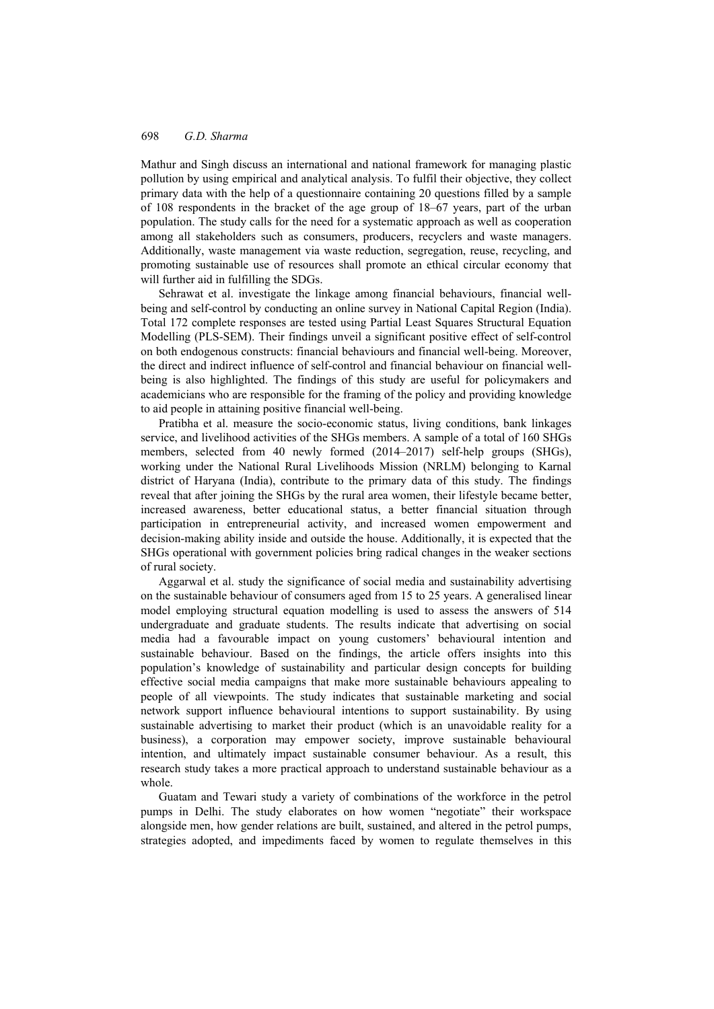Mathur and Singh discuss an international and national framework for managing plastic pollution by using empirical and analytical analysis. To fulfil their objective, they collect primary data with the help of a questionnaire containing 20 questions filled by a sample of 108 respondents in the bracket of the age group of 18–67 years, part of the urban population. The study calls for the need for a systematic approach as well as cooperation among all stakeholders such as consumers, producers, recyclers and waste managers. Additionally, waste management via waste reduction, segregation, reuse, recycling, and promoting sustainable use of resources shall promote an ethical circular economy that will further aid in fulfilling the SDGs.

Sehrawat et al. investigate the linkage among financial behaviours, financial wellbeing and self-control by conducting an online survey in National Capital Region (India). Total 172 complete responses are tested using Partial Least Squares Structural Equation Modelling (PLS-SEM). Their findings unveil a significant positive effect of self-control on both endogenous constructs: financial behaviours and financial well-being. Moreover, the direct and indirect influence of self-control and financial behaviour on financial wellbeing is also highlighted. The findings of this study are useful for policymakers and academicians who are responsible for the framing of the policy and providing knowledge to aid people in attaining positive financial well-being.

Pratibha et al. measure the socio-economic status, living conditions, bank linkages service, and livelihood activities of the SHGs members. A sample of a total of 160 SHGs members, selected from 40 newly formed (2014–2017) self-help groups (SHGs), working under the National Rural Livelihoods Mission (NRLM) belonging to Karnal district of Haryana (India), contribute to the primary data of this study. The findings reveal that after joining the SHGs by the rural area women, their lifestyle became better, increased awareness, better educational status, a better financial situation through participation in entrepreneurial activity, and increased women empowerment and decision-making ability inside and outside the house. Additionally, it is expected that the SHGs operational with government policies bring radical changes in the weaker sections of rural society.

Aggarwal et al. study the significance of social media and sustainability advertising on the sustainable behaviour of consumers aged from 15 to 25 years. A generalised linear model employing structural equation modelling is used to assess the answers of 514 undergraduate and graduate students. The results indicate that advertising on social media had a favourable impact on young customers' behavioural intention and sustainable behaviour. Based on the findings, the article offers insights into this population's knowledge of sustainability and particular design concepts for building effective social media campaigns that make more sustainable behaviours appealing to people of all viewpoints. The study indicates that sustainable marketing and social network support influence behavioural intentions to support sustainability. By using sustainable advertising to market their product (which is an unavoidable reality for a business), a corporation may empower society, improve sustainable behavioural intention, and ultimately impact sustainable consumer behaviour. As a result, this research study takes a more practical approach to understand sustainable behaviour as a whole.

Guatam and Tewari study a variety of combinations of the workforce in the petrol pumps in Delhi. The study elaborates on how women "negotiate" their workspace alongside men, how gender relations are built, sustained, and altered in the petrol pumps, strategies adopted, and impediments faced by women to regulate themselves in this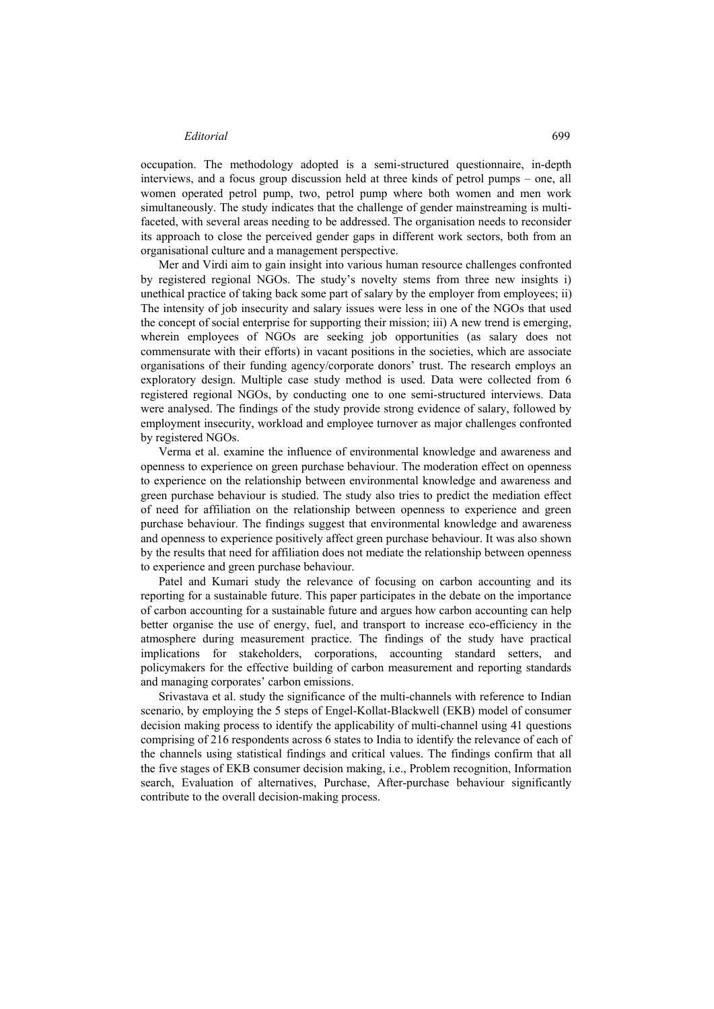#### *Editorial* 699

occupation. The methodology adopted is a semi-structured questionnaire, in-depth interviews, and a focus group discussion held at three kinds of petrol pumps – one, all women operated petrol pump, two, petrol pump where both women and men work simultaneously. The study indicates that the challenge of gender mainstreaming is multifaceted, with several areas needing to be addressed. The organisation needs to reconsider its approach to close the perceived gender gaps in different work sectors, both from an organisational culture and a management perspective.

Mer and Virdi aim to gain insight into various human resource challenges confronted by registered regional NGOs. The study's novelty stems from three new insights i) unethical practice of taking back some part of salary by the employer from employees; ii) The intensity of job insecurity and salary issues were less in one of the NGOs that used the concept of social enterprise for supporting their mission; iii) A new trend is emerging, wherein employees of NGOs are seeking job opportunities (as salary does not commensurate with their efforts) in vacant positions in the societies, which are associate organisations of their funding agency/corporate donors' trust. The research employs an exploratory design. Multiple case study method is used. Data were collected from 6 registered regional NGOs, by conducting one to one semi-structured interviews. Data were analysed. The findings of the study provide strong evidence of salary, followed by employment insecurity, workload and employee turnover as major challenges confronted by registered NGOs.

Verma et al. examine the influence of environmental knowledge and awareness and openness to experience on green purchase behaviour. The moderation effect on openness to experience on the relationship between environmental knowledge and awareness and green purchase behaviour is studied. The study also tries to predict the mediation effect of need for affiliation on the relationship between openness to experience and green purchase behaviour. The findings suggest that environmental knowledge and awareness and openness to experience positively affect green purchase behaviour. It was also shown by the results that need for affiliation does not mediate the relationship between openness to experience and green purchase behaviour.

Patel and Kumari study the relevance of focusing on carbon accounting and its reporting for a sustainable future. This paper participates in the debate on the importance of carbon accounting for a sustainable future and argues how carbon accounting can help better organise the use of energy, fuel, and transport to increase eco-efficiency in the atmosphere during measurement practice. The findings of the study have practical implications for stakeholders, corporations, accounting standard setters, and policymakers for the effective building of carbon measurement and reporting standards and managing corporates' carbon emissions.

Srivastava et al. study the significance of the multi-channels with reference to Indian scenario, by employing the 5 steps of Engel-Kollat-Blackwell (EKB) model of consumer decision making process to identify the applicability of multi-channel using 41 questions comprising of 216 respondents across 6 states to India to identify the relevance of each of the channels using statistical findings and critical values. The findings confirm that all the five stages of EKB consumer decision making, i.e., Problem recognition, Information search, Evaluation of alternatives, Purchase, After-purchase behaviour significantly contribute to the overall decision-making process.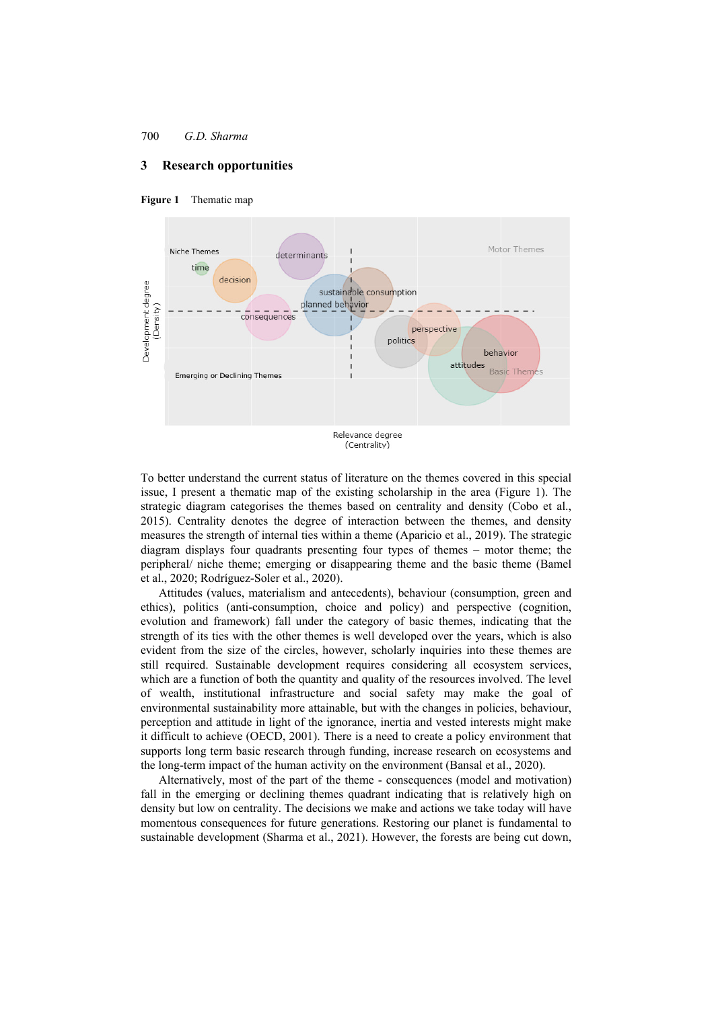## **3 Research opportunities**





To better understand the current status of literature on the themes covered in this special issue, I present a thematic map of the existing scholarship in the area (Figure 1). The strategic diagram categorises the themes based on centrality and density (Cobo et al., 2015). Centrality denotes the degree of interaction between the themes, and density measures the strength of internal ties within a theme (Aparicio et al., 2019). The strategic diagram displays four quadrants presenting four types of themes – motor theme; the peripheral/ niche theme; emerging or disappearing theme and the basic theme (Bamel et al., 2020; Rodríguez-Soler et al., 2020).

Attitudes (values, materialism and antecedents), behaviour (consumption, green and ethics), politics (anti-consumption, choice and policy) and perspective (cognition, evolution and framework) fall under the category of basic themes, indicating that the strength of its ties with the other themes is well developed over the years, which is also evident from the size of the circles, however, scholarly inquiries into these themes are still required. Sustainable development requires considering all ecosystem services, which are a function of both the quantity and quality of the resources involved. The level of wealth, institutional infrastructure and social safety may make the goal of environmental sustainability more attainable, but with the changes in policies, behaviour, perception and attitude in light of the ignorance, inertia and vested interests might make it difficult to achieve (OECD, 2001). There is a need to create a policy environment that supports long term basic research through funding, increase research on ecosystems and the long-term impact of the human activity on the environment (Bansal et al., 2020).

Alternatively, most of the part of the theme - consequences (model and motivation) fall in the emerging or declining themes quadrant indicating that is relatively high on density but low on centrality. The decisions we make and actions we take today will have momentous consequences for future generations. Restoring our planet is fundamental to sustainable development (Sharma et al., 2021). However, the forests are being cut down,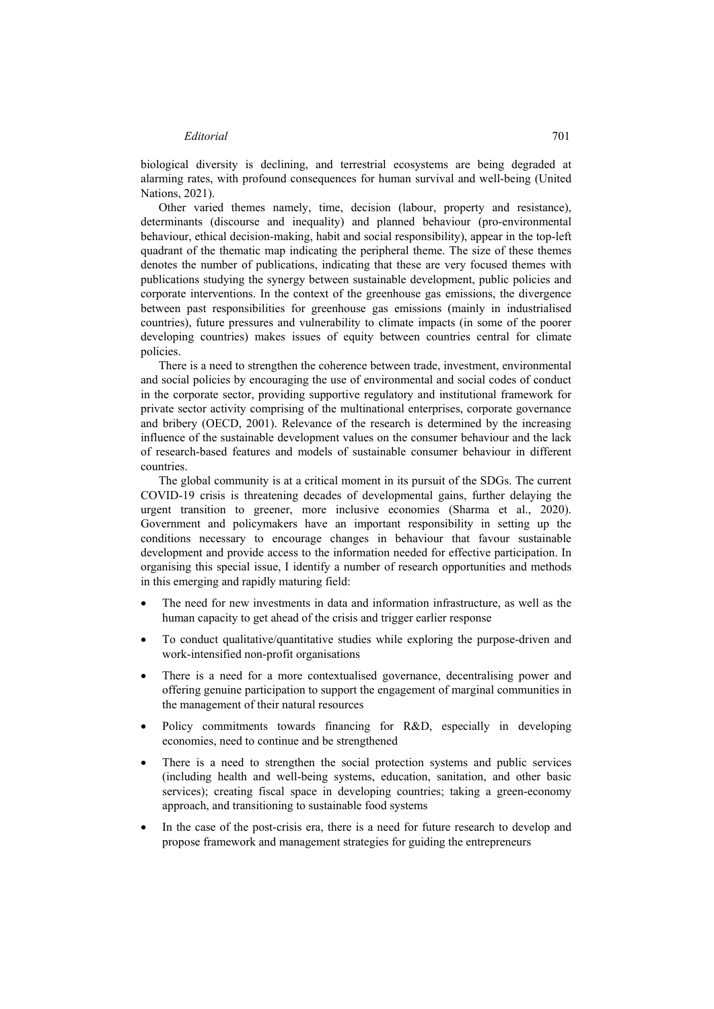### *Editorial* 701

biological diversity is declining, and terrestrial ecosystems are being degraded at alarming rates, with profound consequences for human survival and well-being (United Nations, 2021).

Other varied themes namely, time, decision (labour, property and resistance), determinants (discourse and inequality) and planned behaviour (pro-environmental behaviour, ethical decision-making, habit and social responsibility), appear in the top-left quadrant of the thematic map indicating the peripheral theme. The size of these themes denotes the number of publications, indicating that these are very focused themes with publications studying the synergy between sustainable development, public policies and corporate interventions. In the context of the greenhouse gas emissions, the divergence between past responsibilities for greenhouse gas emissions (mainly in industrialised countries), future pressures and vulnerability to climate impacts (in some of the poorer developing countries) makes issues of equity between countries central for climate policies.

There is a need to strengthen the coherence between trade, investment, environmental and social policies by encouraging the use of environmental and social codes of conduct in the corporate sector, providing supportive regulatory and institutional framework for private sector activity comprising of the multinational enterprises, corporate governance and bribery (OECD, 2001). Relevance of the research is determined by the increasing influence of the sustainable development values on the consumer behaviour and the lack of research-based features and models of sustainable consumer behaviour in different countries.

The global community is at a critical moment in its pursuit of the SDGs. The current COVID-19 crisis is threatening decades of developmental gains, further delaying the urgent transition to greener, more inclusive economies (Sharma et al., 2020). Government and policymakers have an important responsibility in setting up the conditions necessary to encourage changes in behaviour that favour sustainable development and provide access to the information needed for effective participation. In organising this special issue, I identify a number of research opportunities and methods in this emerging and rapidly maturing field:

- The need for new investments in data and information infrastructure, as well as the human capacity to get ahead of the crisis and trigger earlier response
- To conduct qualitative/quantitative studies while exploring the purpose-driven and work-intensified non-profit organisations
- There is a need for a more contextualised governance, decentralising power and offering genuine participation to support the engagement of marginal communities in the management of their natural resources
- Policy commitments towards financing for R&D, especially in developing economies, need to continue and be strengthened
- There is a need to strengthen the social protection systems and public services (including health and well-being systems, education, sanitation, and other basic services); creating fiscal space in developing countries; taking a green-economy approach, and transitioning to sustainable food systems
- In the case of the post-crisis era, there is a need for future research to develop and propose framework and management strategies for guiding the entrepreneurs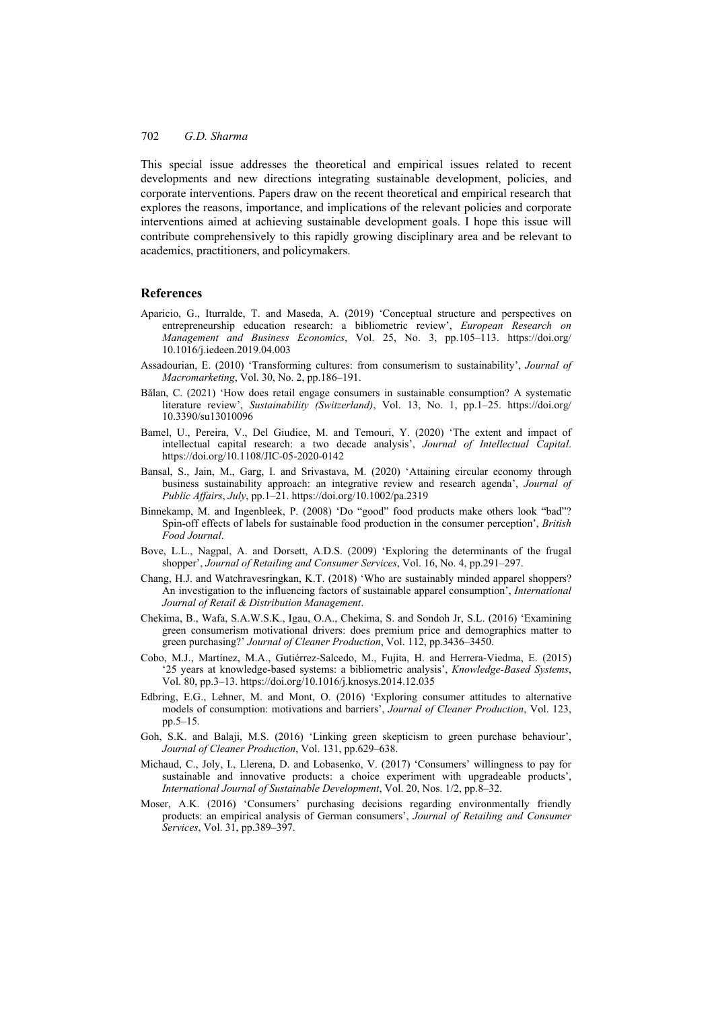This special issue addresses the theoretical and empirical issues related to recent developments and new directions integrating sustainable development, policies, and corporate interventions. Papers draw on the recent theoretical and empirical research that explores the reasons, importance, and implications of the relevant policies and corporate interventions aimed at achieving sustainable development goals. I hope this issue will contribute comprehensively to this rapidly growing disciplinary area and be relevant to academics, practitioners, and policymakers.

### **References**

- Aparicio, G., Iturralde, T. and Maseda, A. (2019) 'Conceptual structure and perspectives on entrepreneurship education research: a bibliometric review', *European Research on Management and Business Economics*, Vol. 25, No. 3, pp.105–113. https://doi.org/ 10.1016/j.iedeen.2019.04.003
- Assadourian, E. (2010) 'Transforming cultures: from consumerism to sustainability', *Journal of Macromarketing*, Vol. 30, No. 2, pp.186–191.
- Bălan, C. (2021) 'How does retail engage consumers in sustainable consumption? A systematic literature review', *Sustainability (Switzerland)*, Vol. 13, No. 1, pp.1–25. https://doi.org/ 10.3390/su13010096
- Bamel, U., Pereira, V., Del Giudice, M. and Temouri, Y. (2020) 'The extent and impact of intellectual capital research: a two decade analysis', *Journal of Intellectual Capital*. https://doi.org/10.1108/JIC-05-2020-0142
- Bansal, S., Jain, M., Garg, I. and Srivastava, M. (2020) 'Attaining circular economy through business sustainability approach: an integrative review and research agenda', *Journal of Public Affairs*, *July*, pp.1–21. https://doi.org/10.1002/pa.2319
- Binnekamp, M. and Ingenbleek, P. (2008) 'Do "good" food products make others look "bad"? Spin-off effects of labels for sustainable food production in the consumer perception', *British Food Journal*.
- Bove, L.L., Nagpal, A. and Dorsett, A.D.S. (2009) 'Exploring the determinants of the frugal shopper', *Journal of Retailing and Consumer Services*, Vol. 16, No. 4, pp.291–297.
- Chang, H.J. and Watchravesringkan, K.T. (2018) 'Who are sustainably minded apparel shoppers? An investigation to the influencing factors of sustainable apparel consumption', *International Journal of Retail & Distribution Management*.
- Chekima, B., Wafa, S.A.W.S.K., Igau, O.A., Chekima, S. and Sondoh Jr, S.L. (2016) 'Examining green consumerism motivational drivers: does premium price and demographics matter to green purchasing?' *Journal of Cleaner Production*, Vol. 112, pp.3436–3450.
- Cobo, M.J., Martínez, M.A., Gutiérrez-Salcedo, M., Fujita, H. and Herrera-Viedma, E. (2015) '25 years at knowledge-based systems: a bibliometric analysis', *Knowledge-Based Systems*, Vol. 80, pp.3–13. https://doi.org/10.1016/j.knosys.2014.12.035
- Edbring, E.G., Lehner, M. and Mont, O. (2016) 'Exploring consumer attitudes to alternative models of consumption: motivations and barriers', *Journal of Cleaner Production*, Vol. 123, pp.5–15.
- Goh, S.K. and Balaji, M.S. (2016) 'Linking green skepticism to green purchase behaviour', *Journal of Cleaner Production*, Vol. 131, pp.629–638.
- Michaud, C., Joly, I., Llerena, D. and Lobasenko, V. (2017) 'Consumers' willingness to pay for sustainable and innovative products: a choice experiment with upgradeable products', *International Journal of Sustainable Development*, Vol. 20, Nos. 1/2, pp.8–32.
- Moser, A.K. (2016) 'Consumers' purchasing decisions regarding environmentally friendly products: an empirical analysis of German consumers', *Journal of Retailing and Consumer Services*, Vol. 31, pp.389–397.